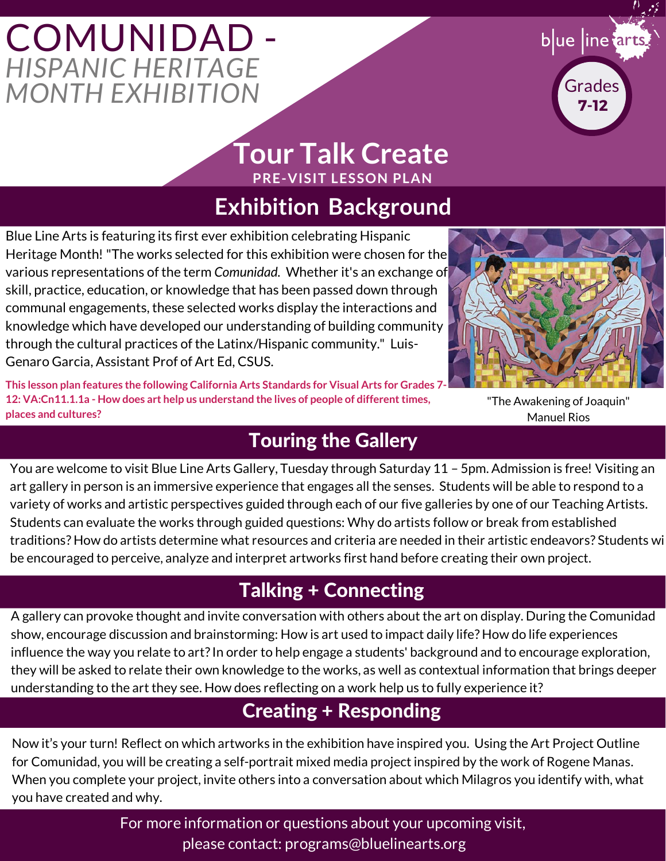# **COMUNIDAD** *HISPANIC HERITAGE MONTH EXHIBITION*



### **PRE-VISIT LESSON PLAN Tour Talk Create**

## **Exhibition Background**

Blue Line Arts is featuring its first ever exhibition celebrating Hispanic Heritage Month! "The works selected for this exhibition were chosen for the various representations of the term *Comunidad.* Whether it's an exchange of skill, practice, education, or knowledge that has been passed down through communal engagements, these selected works display the interactions and knowledge which have developed our understanding of building community through the cultural practices of the Latinx/Hispanic community." Luis-Genaro Garcia, Assistant Prof of Art Ed, CSUS.

**This lesson plan features the following California Arts Standards for Visual Arts for Grades 7- 12: VA:Cn11.1.1a - How does art help us understand the lives of people of different times, places and cultures?**



"The Awakening of Joaquin" Manuel Rios

### Touring the Gallery

You are welcome to visit Blue Line Arts Gallery, Tuesday through Saturday 11 – 5pm. Admission is free! Visiting an art gallery in person is an immersive experience that engages all the senses. Students will be able to respond to a variety of works and artistic perspectives guided through each of our five galleries by one of our Teaching Artists. Students can evaluate the works through guided questions: Why do artists follow or break from established traditions? How do artists determine what resources and criteria are needed in their artistic endeavors? Students wi be encouraged to perceive, analyze and interpret artworks first hand before creating their own project.

## Talking + Connecting

A gallery can provoke thought and invite conversation with others about the art on display. During the Comunidad show, encourage discussion and brainstorming: How is art used to impact daily life? How do life experiences influence the way you relate to art? In order to help engage a students' background and to encourage exploration, they will be asked to relate their own knowledge to the works, as well as contextual information that brings deeper understanding to the art they see. How does reflecting on a work help us to fully experience it?

## Creating + Responding

Now it's your turn! Reflect on which artworks in the exhibition have inspired you. Using the Art Project Outline for Comunidad, you will be creating a self-portrait mixed media project inspired by the work of Rogene Manas. When you complete your project, invite others into a conversation about which Milagros you identify with, what you have created and why.

> For more information or questions about your upcoming visit, please contact: programs@bluelinearts.org